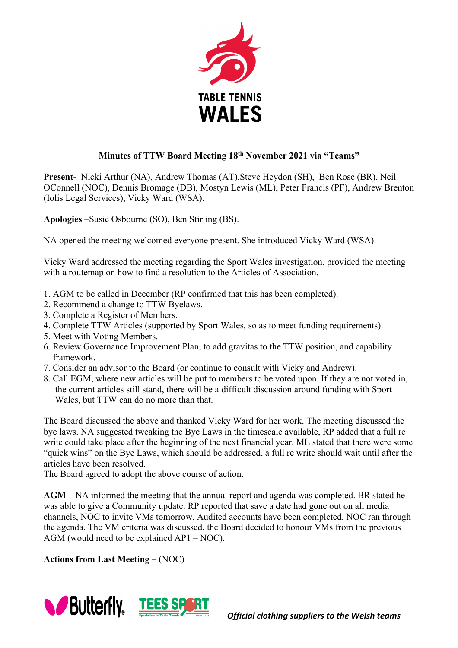

## **Minutes of TTW Board Meeting 18th November 2021 via "Teams"**

**Present-** Nicki Arthur (NA), Andrew Thomas (AT),Steve Heydon (SH), Ben Rose (BR), Neil OConnell (NOC), Dennis Bromage (DB), Mostyn Lewis (ML), Peter Francis (PF), Andrew Brenton (Iolis Legal Services), Vicky Ward (WSA).

**Apologies** –Susie Osbourne (SO), Ben Stirling (BS).

NA opened the meeting welcomed everyone present. She introduced Vicky Ward (WSA).

Vicky Ward addressed the meeting regarding the Sport Wales investigation, provided the meeting with a routemap on how to find a resolution to the Articles of Association.

- 1. AGM to be called in December (RP confirmed that this has been completed).
- 2. Recommend a change to TTW Byelaws.
- 3. Complete a Register of Members.
- 4. Complete TTW Articles (supported by Sport Wales, so as to meet funding requirements).
- 5. Meet with Voting Members.
- 6. Review Governance Improvement Plan, to add gravitas to the TTW position, and capability framework.
- 7. Consider an advisor to the Board (or continue to consult with Vicky and Andrew).
- 8. Call EGM, where new articles will be put to members to be voted upon. If they are not voted in, the current articles still stand, there will be a difficult discussion around funding with Sport Wales, but TTW can do no more than that.

The Board discussed the above and thanked Vicky Ward for her work. The meeting discussed the bye laws. NA suggested tweaking the Bye Laws in the timescale available, RP added that a full re write could take place after the beginning of the next financial year. ML stated that there were some "quick wins" on the Bye Laws, which should be addressed, a full re write should wait until after the articles have been resolved.

The Board agreed to adopt the above course of action.

**AGM** – NA informed the meeting that the annual report and agenda was completed. BR stated he was able to give a Community update. RP reported that save a date had gone out on all media channels, NOC to invite VMs tomorrow. Audited accounts have been completed. NOC ran through the agenda. The VM criteria was discussed, the Board decided to honour VMs from the previous AGM (would need to be explained AP1 – NOC).

**Actions from Last Meeting –** (NOC)